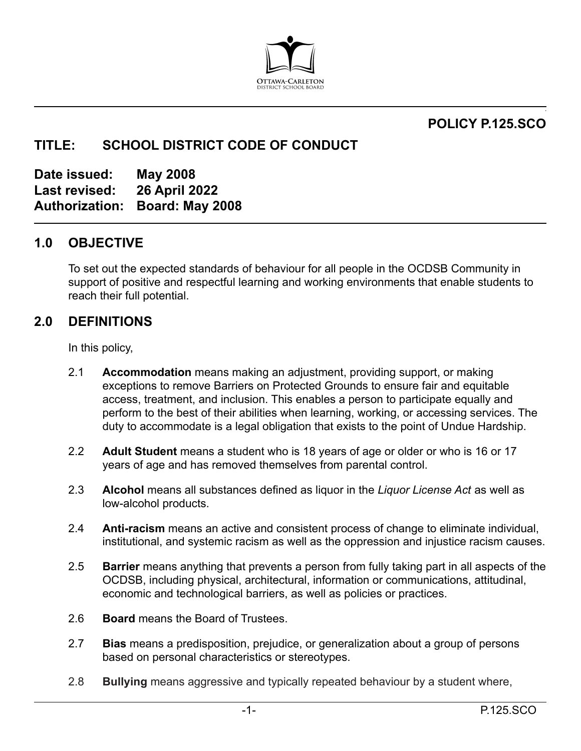

## **POLICY P.125.SCO**

**,**

# **TITLE: SCHOOL DISTRICT CODE OF CONDUCT**

**Date issued: May 2008 Last revised: 26 April 2022 Authorization: Board: May 2008**

### **1.0 OBJECTIVE**

To set out the expected standards of behaviour for all people in the OCDSB Community in support of positive and respectful learning and working environments that enable students to reach their full potential.

### **2.0 DEFINITIONS**

In this policy,

- 2.1 **Accommodation** means making an adjustment, providing support, or making exceptions to remove Barriers on Protected Grounds to ensure fair and equitable access, treatment, and inclusion. This enables a person to participate equally and perform to the best of their abilities when learning, working, or accessing services. The duty to accommodate is a legal obligation that exists to the point of Undue Hardship.
- 2.2 **Adult Student** means a student who is 18 years of age or older or who is 16 or 17 years of age and has removed themselves from parental control.
- 2.3 **Alcohol** means all substances defined as liquor in the *Liquor License Act* as well as low-alcohol products.
- 2.4 **Anti-racism** means an active and consistent process of change to eliminate individual, institutional, and systemic racism as well as the oppression and injustice racism causes.
- 2.5 **Barrier** means anything that prevents a person from fully taking part in all aspects of the OCDSB, including physical, architectural, information or communications, attitudinal, economic and technological barriers, as well as policies or practices.
- 2.6 **Board** means the Board of Trustees.
- 2.7 **Bias** means a predisposition, prejudice, or generalization about a group of persons based on personal characteristics or stereotypes.
- 2.8 **Bullying** means aggressive and typically repeated behaviour by a student where,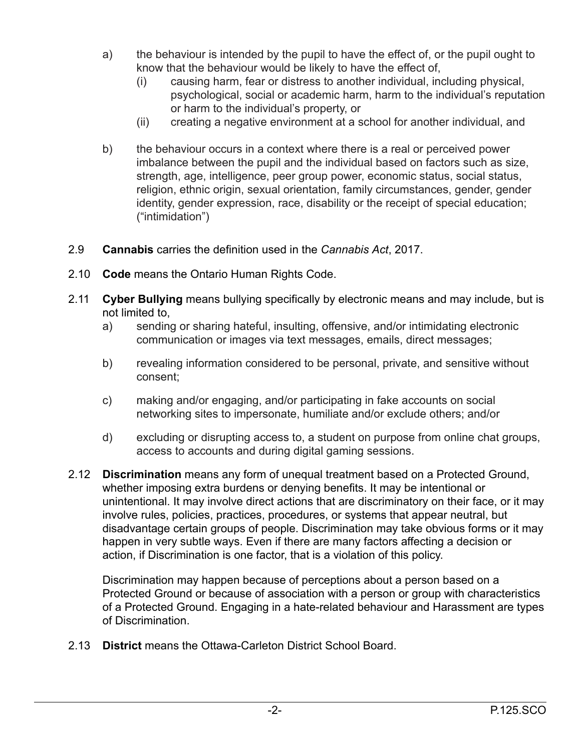- a) the behaviour is intended by the pupil to have the effect of, or the pupil ought to know that the behaviour would be likely to have the effect of,
	- (i) causing harm, fear or distress to another individual, including physical, psychological, social or academic harm, harm to the individual's reputation or harm to the individual's property, or
	- (ii) creating a negative environment at a school for another individual, and
- b) the behaviour occurs in a context where there is a real or perceived power imbalance between the pupil and the individual based on factors such as size, strength, age, intelligence, peer group power, economic status, social status, religion, ethnic origin, sexual orientation, family circumstances, gender, gender identity, gender expression, race, disability or the receipt of special education; ("intimidation")
- 2.9 **Cannabis** carries the definition used in the *Cannabis Act*, 2017.
- 2.10 **Code** means the Ontario Human Rights Code.
- 2.11 **Cyber Bullying** means bullying specifically by electronic means and may include, but is not limited to,
	- a) sending or sharing hateful, insulting, offensive, and/or intimidating electronic communication or images via text messages, emails, direct messages;
	- b) revealing information considered to be personal, private, and sensitive without consent;
	- c) making and/or engaging, and/or participating in fake accounts on social networking sites to impersonate, humiliate and/or exclude others; and/or
	- d) excluding or disrupting access to, a student on purpose from online chat groups, access to accounts and during digital gaming sessions.
- 2.12 **Discrimination** means any form of unequal treatment based on a Protected Ground, whether imposing extra burdens or denying benefits. It may be intentional or unintentional. It may involve direct actions that are discriminatory on their face, or it may involve rules, policies, practices, procedures, or systems that appear neutral, but disadvantage certain groups of people. Discrimination may take obvious forms or it may happen in very subtle ways. Even if there are many factors affecting a decision or action, if Discrimination is one factor, that is a violation of this policy.

Discrimination may happen because of perceptions about a person based on a Protected Ground or because of association with a person or group with characteristics of a Protected Ground. Engaging in a hate-related behaviour and Harassment are types of Discrimination.

2.13 **District** means the Ottawa-Carleton District School Board.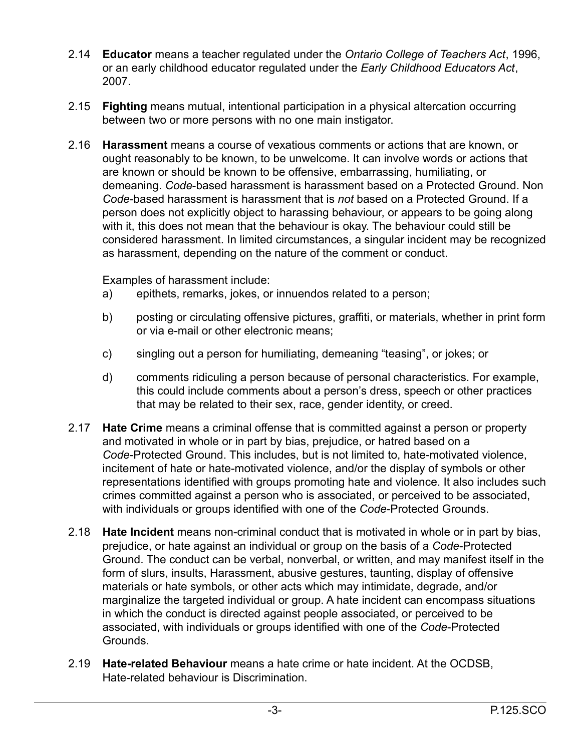- 2.14 **Educator** means a teacher regulated under the *Ontario College of Teachers Act*, 1996, or an early childhood educator regulated under the *Early Childhood Educators Act*, 2007.
- 2.15 **Fighting** means mutual, intentional participation in a physical altercation occurring between two or more persons with no one main instigator.
- 2.16 **Harassment** means a course of vexatious comments or actions that are known, or ought reasonably to be known, to be unwelcome. It can involve words or actions that are known or should be known to be offensive, embarrassing, humiliating, or demeaning. *Code*-based harassment is harassment based on a Protected Ground. Non *Code*-based harassment is harassment that is *not* based on a Protected Ground. If a person does not explicitly object to harassing behaviour, or appears to be going along with it, this does not mean that the behaviour is okay. The behaviour could still be considered harassment. In limited circumstances, a singular incident may be recognized as harassment, depending on the nature of the comment or conduct.

Examples of harassment include:

- a) epithets, remarks, jokes, or innuendos related to a person;
- b) posting or circulating offensive pictures, graffiti, or materials, whether in print form or via e-mail or other electronic means;
- c) singling out a person for humiliating, demeaning "teasing", or jokes; or
- d) comments ridiculing a person because of personal characteristics. For example, this could include comments about a person's dress, speech or other practices that may be related to their sex, race, gender identity, or creed.
- 2.17 **Hate Crime** means a criminal offense that is committed against a person or property and motivated in whole or in part by bias, prejudice, or hatred based on a *Code*-Protected Ground. This includes, but is not limited to, hate-motivated violence, incitement of hate or hate-motivated violence, and/or the display of symbols or other representations identified with groups promoting hate and violence. It also includes such crimes committed against a person who is associated, or perceived to be associated, with individuals or groups identified with one of the *Code*-Protected Grounds.
- 2.18 **Hate Incident** means non-criminal conduct that is motivated in whole or in part by bias, prejudice, or hate against an individual or group on the basis of a *Code*-Protected Ground. The conduct can be verbal, nonverbal, or written, and may manifest itself in the form of slurs, insults, Harassment, abusive gestures, taunting, display of offensive materials or hate symbols, or other acts which may intimidate, degrade, and/or marginalize the targeted individual or group. A hate incident can encompass situations in which the conduct is directed against people associated, or perceived to be associated, with individuals or groups identified with one of the *Code*-Protected Grounds.
- 2.19 **Hate-related Behaviour** means a hate crime or hate incident. At the OCDSB, Hate-related behaviour is Discrimination.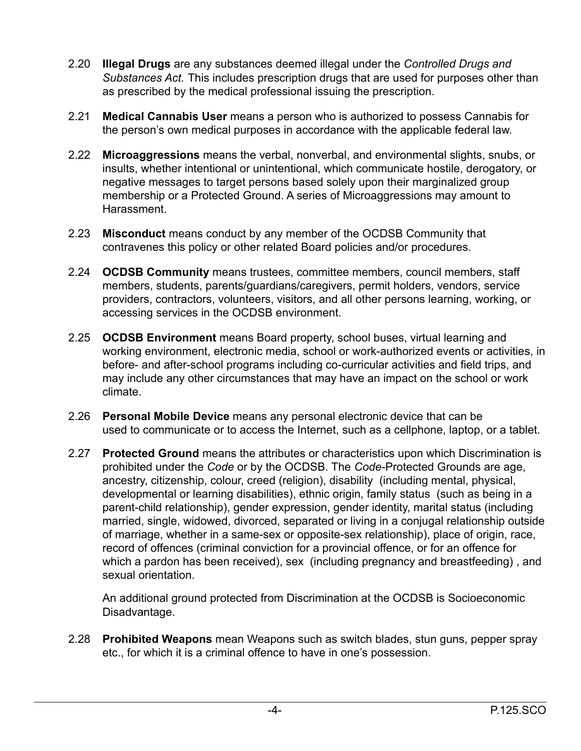- 2.20 **Illegal Drugs** are any substances deemed illegal under the *Controlled Drugs and Substances Act.* This includes prescription drugs that are used for purposes other than as prescribed by the medical professional issuing the prescription.
- 2.21 **Medical Cannabis User** means a person who is authorized to possess Cannabis for the person's own medical purposes in accordance with the applicable federal law.
- 2.22 **Microaggressions** means the verbal, nonverbal, and environmental slights, snubs, or insults, whether intentional or unintentional, which communicate hostile, derogatory, or negative messages to target persons based solely upon their marginalized group membership or a Protected Ground. A series of Microaggressions may amount to Harassment.
- 2.23 **Misconduct** means conduct by any member of the OCDSB Community that contravenes this policy or other related Board policies and/or procedures.
- 2.24 **OCDSB Community** means trustees, committee members, council members, staff members, students, parents/guardians/caregivers, permit holders, vendors, service providers, contractors, volunteers, visitors, and all other persons learning, working, or accessing services in the OCDSB environment.
- 2.25 **OCDSB Environment** means Board property, school buses, virtual learning and working environment, electronic media, school or work-authorized events or activities, in before- and after-school programs including co-curricular activities and field trips, and may include any other circumstances that may have an impact on the school or work climate.
- 2.26 **Personal Mobile Device** means any personal electronic device that can be used to communicate or to access the Internet, such as a cellphone, laptop, or a tablet.
- 2.27 **Protected Ground** means the attributes or characteristics upon which Discrimination is prohibited under the *Code* or by the OCDSB. The *Code-*Protected Grounds are age, ancestry, citizenship, colour, creed (religion), disability (including mental, physical, developmental or learning disabilities), ethnic origin, family status (such as being in a parent-child relationship), gender expression, gender identity, marital status (including married, single, widowed, divorced, separated or living in a conjugal relationship outside of marriage, whether in a same-sex or opposite-sex relationship), place of origin, race, record of offences (criminal conviction for a provincial offence, or for an offence for which a pardon has been received), sex (including pregnancy and breastfeeding) , and sexual orientation.

An additional ground protected from Discrimination at the OCDSB is Socioeconomic Disadvantage.

2.28 **Prohibited Weapons** mean Weapons such as switch blades, stun guns, pepper spray etc., for which it is a criminal offence to have in one's possession.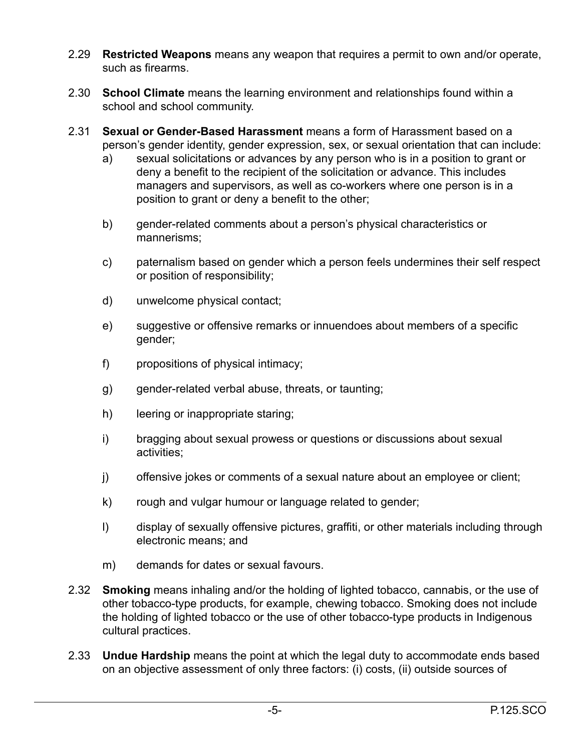- 2.29 **Restricted Weapons** means any weapon that requires a permit to own and/or operate, such as firearms.
- 2.30 **School Climate** means the learning environment and relationships found within a school and school community.
- 2.31 **Sexual or Gender-Based Harassment** means a form of Harassment based on a person's gender identity, gender expression, sex, or sexual orientation that can include:
	- a) sexual solicitations or advances by any person who is in a position to grant or deny a benefit to the recipient of the solicitation or advance. This includes managers and supervisors, as well as co-workers where one person is in a position to grant or deny a benefit to the other;
	- b) gender-related comments about a person's physical characteristics or mannerisms;
	- c) paternalism based on gender which a person feels undermines their self respect or position of responsibility;
	- d) unwelcome physical contact;
	- e) suggestive or offensive remarks or innuendoes about members of a specific gender;
	- f) propositions of physical intimacy;
	- g) gender-related verbal abuse, threats, or taunting;
	- h) leering or inappropriate staring;
	- i) bragging about sexual prowess or questions or discussions about sexual activities;
	- j) offensive jokes or comments of a sexual nature about an employee or client;
	- k) rough and vulgar humour or language related to gender;
	- l) display of sexually offensive pictures, graffiti, or other materials including through electronic means; and
	- m) demands for dates or sexual favours.
- 2.32 **Smoking** means inhaling and/or the holding of lighted tobacco, cannabis, or the use of other tobacco-type products, for example, chewing tobacco. Smoking does not include the holding of lighted tobacco or the use of other tobacco-type products in Indigenous cultural practices.
- 2.33 **Undue Hardship** means the point at which the legal duty to accommodate ends based on an objective assessment of only three factors: (i) costs, (ii) outside sources of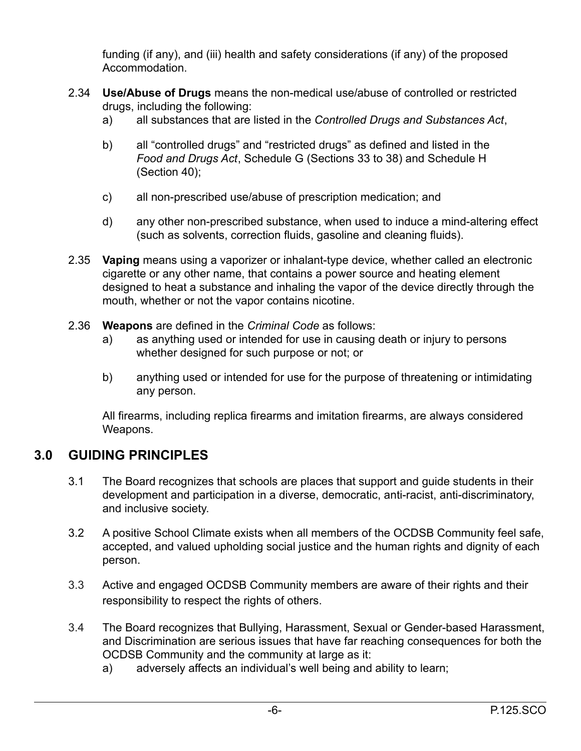funding (if any), and (iii) health and safety considerations (if any) of the proposed Accommodation.

- 2.34 **Use/Abuse of Drugs** means the non-medical use/abuse of controlled or restricted drugs, including the following:
	- a) all substances that are listed in the *Controlled Drugs and Substances Act*,
	- b) all "controlled drugs" and "restricted drugs" as defined and listed in the *Food and Drugs Act*, Schedule G (Sections 33 to 38) and Schedule H (Section 40);
	- c) all non-prescribed use/abuse of prescription medication; and
	- d) any other non-prescribed substance, when used to induce a mind-altering effect (such as solvents, correction fluids, gasoline and cleaning fluids).
- 2.35 **Vaping** means using a vaporizer or inhalant-type device, whether called an electronic cigarette or any other name, that contains a power source and heating element designed to heat a substance and inhaling the vapor of the device directly through the mouth, whether or not the vapor contains nicotine.
- 2.36 **Weapons** are defined in the *Criminal Code* as follows:
	- a) as anything used or intended for use in causing death or injury to persons whether designed for such purpose or not; or
	- b) anything used or intended for use for the purpose of threatening or intimidating any person.

All firearms, including replica firearms and imitation firearms, are always considered Weapons.

## **3.0 GUIDING PRINCIPLES**

- 3.1 The Board recognizes that schools are places that support and guide students in their development and participation in a diverse, democratic, anti-racist, anti-discriminatory, and inclusive society.
- 3.2 A positive School Climate exists when all members of the OCDSB Community feel safe, accepted, and valued upholding social justice and the human rights and dignity of each person.
- 3.3 Active and engaged OCDSB Community members are aware of their rights and their responsibility to respect the rights of others.
- 3.4 The Board recognizes that Bullying, Harassment, Sexual or Gender-based Harassment, and Discrimination are serious issues that have far reaching consequences for both the OCDSB Community and the community at large as it:
	- a) adversely affects an individual's well being and ability to learn;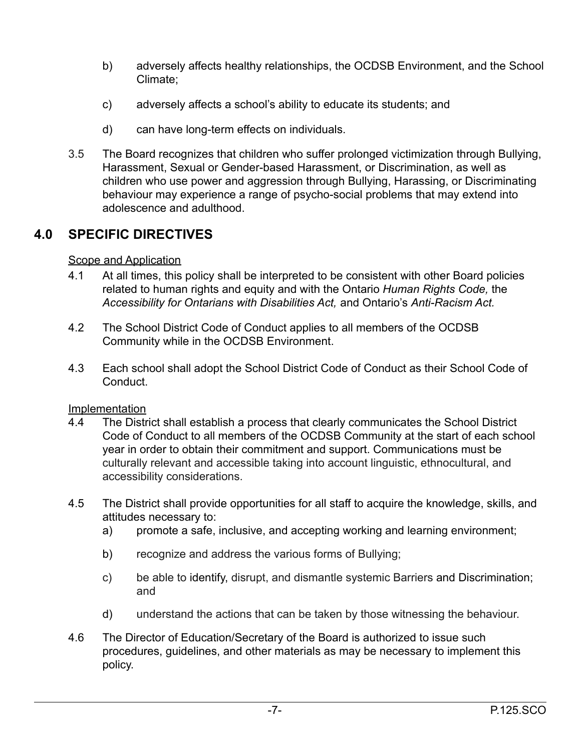- b) adversely affects healthy relationships, the OCDSB Environment, and the School Climate;
- c) adversely affects a school's ability to educate its students; and
- d) can have long-term effects on individuals.
- 3.5 The Board recognizes that children who suffer prolonged victimization through Bullying, Harassment, Sexual or Gender-based Harassment, or Discrimination, as well as children who use power and aggression through Bullying, Harassing, or Discriminating behaviour may experience a range of psycho-social problems that may extend into adolescence and adulthood.

## **4.0 SPECIFIC DIRECTIVES**

### Scope and Application

- 4.1 At all times, this policy shall be interpreted to be consistent with other Board policies related to human rights and equity and with the Ontario *Human Rights Code,* the *Accessibility for Ontarians with Disabilities Act,* and Ontario's *Anti-Racism Act.*
- 4.2 The School District Code of Conduct applies to all members of the OCDSB Community while in the OCDSB Environment.
- 4.3 Each school shall adopt the School District Code of Conduct as their School Code of Conduct.

### Implementation

- 4.4 The District shall establish a process that clearly communicates the School District Code of Conduct to all members of the OCDSB Community at the start of each school year in order to obtain their commitment and support. Communications must be culturally relevant and accessible taking into account linguistic, ethnocultural, and accessibility considerations.
- 4.5 The District shall provide opportunities for all staff to acquire the knowledge, skills, and attitudes necessary to:
	- a) promote a safe, inclusive, and accepting working and learning environment;
	- b) recognize and address the various forms of Bullying;
	- c) be able to identify, disrupt, and dismantle systemic Barriers and Discrimination; and
	- d) understand the actions that can be taken by those witnessing the behaviour.
- 4.6 The Director of Education/Secretary of the Board is authorized to issue such procedures, guidelines, and other materials as may be necessary to implement this policy.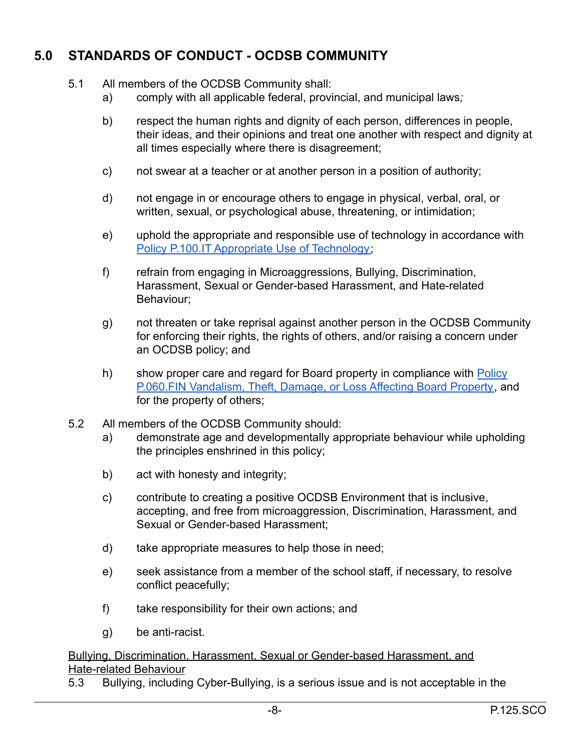# **5.0 STANDARDS OF CONDUCT - OCDSB COMMUNITY**

- 5.1 All members of the OCDSB Community shall:
	- a) comply with all applicable federal, provincial, and municipal laws*;*
	- b) respect the human rights and dignity of each person, differences in people, their ideas, and their opinions and treat one another with respect and dignity at all times especially where there is disagreement;
	- c) not swear at a teacher or at another person in a position of authority;
	- d) not engage in or encourage others to engage in physical, verbal, oral, or written, sexual, or psychological abuse, threatening, or intimidation;
	- e) uphold the appropriate and responsible use of technology in accordance with Policy P.100.IT [Appropriate Use of Technology;](https://weblink.ocdsb.ca/WebLink/ElectronicFile.aspx?docid=2008623&dbid=0&repo=OCDSB)
	- f) refrain from engaging in Microaggressions, Bullying, Discrimination, Harassment, Sexual or Gender-based Harassment, and Hate-related Behaviour;
	- g) not threaten or take reprisal against another person in the OCDSB Community for enforcing their rights, the rights of others, and/or raising a concern under an OCDSB policy; and
	- h) show proper care and regard for Board property in compliance with [Policy](https://weblink.ocdsb.ca/WebLink/ElectronicFile.aspx?docid=2008567&dbid=0&repo=OCDSB) [P.060.FIN Vandalism, Theft, Damage, or Loss Affecting Board Property,](https://weblink.ocdsb.ca/WebLink/ElectronicFile.aspx?docid=2008567&dbid=0&repo=OCDSB) and for the property of others;
- 5.2 All members of the OCDSB Community should:
	- a) demonstrate age and developmentally appropriate behaviour while upholding the principles enshrined in this policy;
	- b) act with honesty and integrity;
	- c) contribute to creating a positive OCDSB Environment that is inclusive, accepting, and free from microaggression, Discrimination, Harassment, and Sexual or Gender-based Harassment;
	- d) take appropriate measures to help those in need;
	- e) seek assistance from a member of the school staff, if necessary, to resolve conflict peacefully;
	- f) take responsibility for their own actions; and
	- g) be anti-racist.

Bullying, Discrimination, Harassment, Sexual or Gender-based Harassment, and Hate-related Behaviour

5.3 Bullying, including Cyber-Bullying, is a serious issue and is not acceptable in the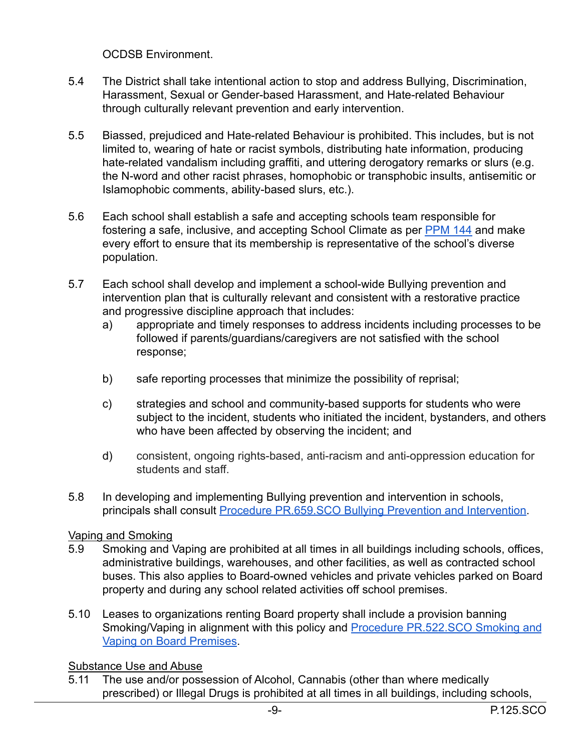OCDSB Environment.

- 5.4 The District shall take intentional action to stop and address Bullying, Discrimination, Harassment, Sexual or Gender-based Harassment, and Hate-related Behaviour through culturally relevant prevention and early intervention.
- 5.5 Biassed, prejudiced and Hate-related Behaviour is prohibited. This includes, but is not limited to, wearing of hate or racist symbols, distributing hate information, producing hate-related vandalism including graffiti, and uttering derogatory remarks or slurs (e.g. the N-word and other racist phrases, homophobic or transphobic insults, antisemitic or Islamophobic comments, ability-based slurs, etc.).
- 5.6 Each school shall establish a safe and accepting schools team responsible for fostering a safe, inclusive, and accepting School Climate as per **[PPM 144](https://www.ontario.ca/document/education-ontario-policy-and-program-direction/policyprogram-memorandum-144)** and make every effort to ensure that its membership is representative of the school's diverse population.
- 5.7 Each school shall develop and implement a school-wide Bullying prevention and intervention plan that is culturally relevant and consistent with a restorative practice and progressive discipline approach that includes:
	- a) appropriate and timely responses to address incidents including processes to be followed if parents/guardians/caregivers are not satisfied with the school response;
	- b) safe reporting processes that minimize the possibility of reprisal;
	- c) strategies and school and community-based supports for students who were subject to the incident, students who initiated the incident, bystanders, and others who have been affected by observing the incident; and
	- d) consistent, ongoing rights-based, anti-racism and anti-oppression education for students and staff.
- 5.8 In developing and implementing Bullying prevention and intervention in schools, principals shall consult [Procedure PR.659.SCO Bullying](https://weblink.ocdsb.ca/WebLink/ElectronicFile.aspx?docid=2008837&dbid=0&repo=OCDSB) Prevention and Intervention.

### Vaping and Smoking

- 5.9 Smoking and Vaping are prohibited at all times in all buildings including schools, offices, administrative buildings, warehouses, and other facilities, as well as contracted school buses. This also applies to Board-owned vehicles and private vehicles parked on Board property and during any school related activities off school premises.
- 5.10 Leases to organizations renting Board property shall include a provision banning Smoking/Vaping in alignment with this policy and Procedure [PR.522.SCO Smoking and](https://weblink.ocdsb.ca/WebLink/ElectronicFile.aspx?docid=3427140&dbid=0&repo=OCDSB) [Vaping on Board Premises.](https://weblink.ocdsb.ca/WebLink/ElectronicFile.aspx?docid=3427140&dbid=0&repo=OCDSB)

### Substance Use and Abuse

5.11 The use and/or possession of Alcohol, Cannabis (other than where medically prescribed) or Illegal Drugs is prohibited at all times in all buildings, including schools,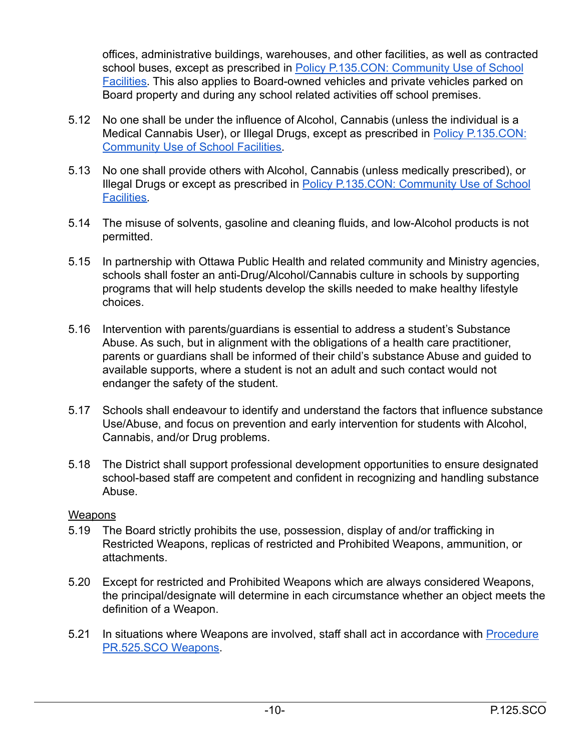offices, administrative buildings, warehouses, and other facilities, as well as contracted school buses, except as prescribed in Policy P.135.CON: [Community Use of School](https://weblink.ocdsb.ca/WebLink/ElectronicFile.aspx?docid=2008541&dbid=0&repo=OCDSB) [Facilities.](https://weblink.ocdsb.ca/WebLink/ElectronicFile.aspx?docid=2008541&dbid=0&repo=OCDSB) This also applies to Board-owned vehicles and private vehicles parked on Board property and during any school related activities off school premises.

- 5.12 No one shall be under the influence of Alcohol, Cannabis (unless the individual is a Medical Cannabis User), or Illegal Drugs, except as prescribed in [Policy P.135.CON:](https://weblink.ocdsb.ca/WebLink/ElectronicFile.aspx?docid=2008541&dbid=0&repo=OCDSB) [Community Use of School Facilities.](https://weblink.ocdsb.ca/WebLink/ElectronicFile.aspx?docid=2008541&dbid=0&repo=OCDSB)
- 5.13 No one shall provide others with Alcohol, Cannabis (unless medically prescribed), or Illegal Drugs or except as prescribed in Policy P.135.CON: [Community Use of School](https://weblink.ocdsb.ca/WebLink/ElectronicFile.aspx?docid=2008541&dbid=0&repo=OCDSB) [Facilities.](https://weblink.ocdsb.ca/WebLink/ElectronicFile.aspx?docid=2008541&dbid=0&repo=OCDSB)
- 5.14 The misuse of solvents, gasoline and cleaning fluids, and low-Alcohol products is not permitted.
- 5.15 In partnership with Ottawa Public Health and related community and Ministry agencies, schools shall foster an anti-Drug/Alcohol/Cannabis culture in schools by supporting programs that will help students develop the skills needed to make healthy lifestyle choices.
- 5.16 Intervention with parents/guardians is essential to address a student's Substance Abuse. As such, but in alignment with the obligations of a health care practitioner, parents or guardians shall be informed of their child's substance Abuse and guided to available supports, where a student is not an adult and such contact would not endanger the safety of the student.
- 5.17 Schools shall endeavour to identify and understand the factors that influence substance Use/Abuse, and focus on prevention and early intervention for students with Alcohol, Cannabis, and/or Drug problems.
- 5.18 The District shall support professional development opportunities to ensure designated school-based staff are competent and confident in recognizing and handling substance Abuse.

### **Weapons**

- 5.19 The Board strictly prohibits the use, possession, display of and/or trafficking in Restricted Weapons, replicas of restricted and Prohibited Weapons, ammunition, or attachments.
- 5.20 Except for restricted and Prohibited Weapons which are always considered Weapons, the principal/designate will determine in each circumstance whether an object meets the definition of a Weapon.
- 5.21 In situations where Weapons are involved, staff shall act in accordance with [Procedure](https://weblink.ocdsb.ca/WebLink/ElectronicFile.aspx?docid=2008803&dbid=0&repo=OCDSB) [PR.525.SCO Weapons](https://weblink.ocdsb.ca/WebLink/ElectronicFile.aspx?docid=2008803&dbid=0&repo=OCDSB).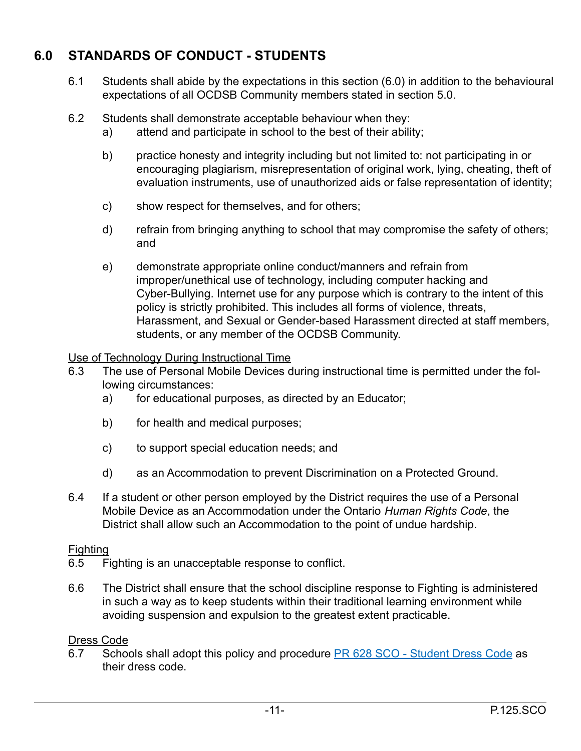# **6.0 STANDARDS OF CONDUCT - STUDENTS**

- 6.1 Students shall abide by the expectations in this section (6.0) in addition to the behavioural expectations of all OCDSB Community members stated in section 5.0.
- 6.2 Students shall demonstrate acceptable behaviour when they:
	- a) attend and participate in school to the best of their ability;
	- b) practice honesty and integrity including but not limited to: not participating in or encouraging plagiarism, misrepresentation of original work, lying, cheating, theft of evaluation instruments, use of unauthorized aids or false representation of identity;
	- c) show respect for themselves, and for others;
	- d) refrain from bringing anything to school that may compromise the safety of others; and
	- e) demonstrate appropriate online conduct/manners and refrain from improper/unethical use of technology, including computer hacking and Cyber-Bullying. Internet use for any purpose which is contrary to the intent of this policy is strictly prohibited. This includes all forms of violence, threats, Harassment, and Sexual or Gender-based Harassment directed at staff members, students, or any member of the OCDSB Community.

#### Use of Technology During Instructional Time

- 6.3 The use of Personal Mobile Devices during instructional time is permitted under the following circumstances:
	- a) for educational purposes, as directed by an Educator;
	- b) for health and medical purposes;
	- c) to support special education needs; and
	- d) as an Accommodation to prevent Discrimination on a Protected Ground.
- 6.4 If a student or other person employed by the District requires the use of a Personal Mobile Device as an Accommodation under the Ontario *Human Rights Code*, the District shall allow such an Accommodation to the point of undue hardship.

#### **Fighting**

- 6.5 Fighting is an unacceptable response to conflict.
- 6.6 The District shall ensure that the school discipline response to Fighting is administered in such a way as to keep students within their traditional learning environment while avoiding suspension and expulsion to the greatest extent practicable.

### Dress Code

6.7 Schools shall adopt this policy and procedure PR 628 [SCO - Student Dress Code](https://weblink.ocdsb.ca/WebLink/DocView.aspx?id=2008830&dbid=0&repo=OCDSB) as their dress code.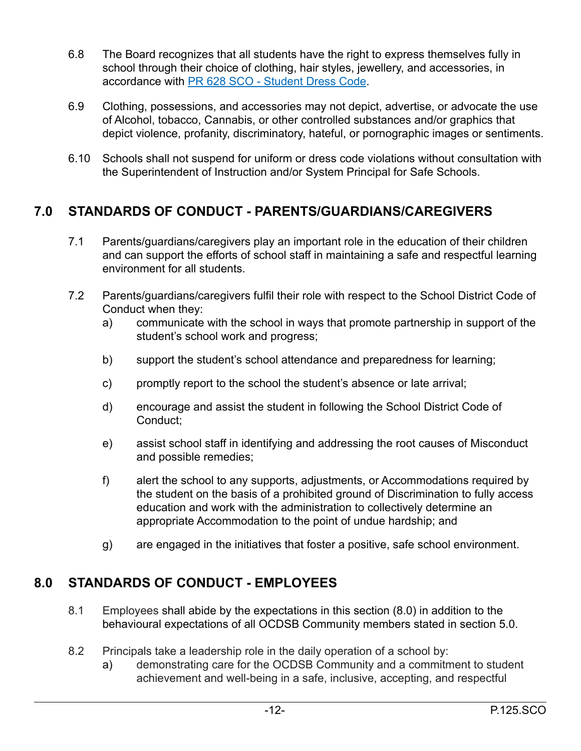- 6.8 The Board recognizes that all students have the right to express themselves fully in school through their choice of clothing, hair styles, jewellery, and accessories, in accordance with [PR 628 SCO - Student Dress Code](https://weblink.ocdsb.ca/WebLink/DocView.aspx?id=2008830&dbid=0&repo=OCDSB).
- 6.9 Clothing, possessions, and accessories may not depict, advertise, or advocate the use of Alcohol, tobacco, Cannabis, or other controlled substances and/or graphics that depict violence, profanity, discriminatory, hateful, or pornographic images or sentiments.
- 6.10 Schools shall not suspend for uniform or dress code violations without consultation with the Superintendent of Instruction and/or System Principal for Safe Schools.

# **7.0 STANDARDS OF CONDUCT - PARENTS/GUARDIANS/CAREGIVERS**

- 7.1 Parents/guardians/caregivers play an important role in the education of their children and can support the efforts of school staff in maintaining a safe and respectful learning environment for all students.
- 7.2 Parents/guardians/caregivers fulfil their role with respect to the School District Code of Conduct when they:
	- a) communicate with the school in ways that promote partnership in support of the student's school work and progress;
	- b) support the student's school attendance and preparedness for learning;
	- c) promptly report to the school the student's absence or late arrival;
	- d) encourage and assist the student in following the School District Code of Conduct;
	- e) assist school staff in identifying and addressing the root causes of Misconduct and possible remedies;
	- f) alert the school to any supports, adjustments, or Accommodations required by the student on the basis of a prohibited ground of Discrimination to fully access education and work with the administration to collectively determine an appropriate Accommodation to the point of undue hardship; and
	- g) are engaged in the initiatives that foster a positive, safe school environment.

# **8.0 STANDARDS OF CONDUCT - EMPLOYEES**

- 8.1 Employees shall abide by the expectations in this section (8.0) in addition to the behavioural expectations of all OCDSB Community members stated in section 5.0.
- 8.2 Principals take a leadership role in the daily operation of a school by:
	- a) demonstrating care for the OCDSB Community and a commitment to student achievement and well-being in a safe, inclusive, accepting, and respectful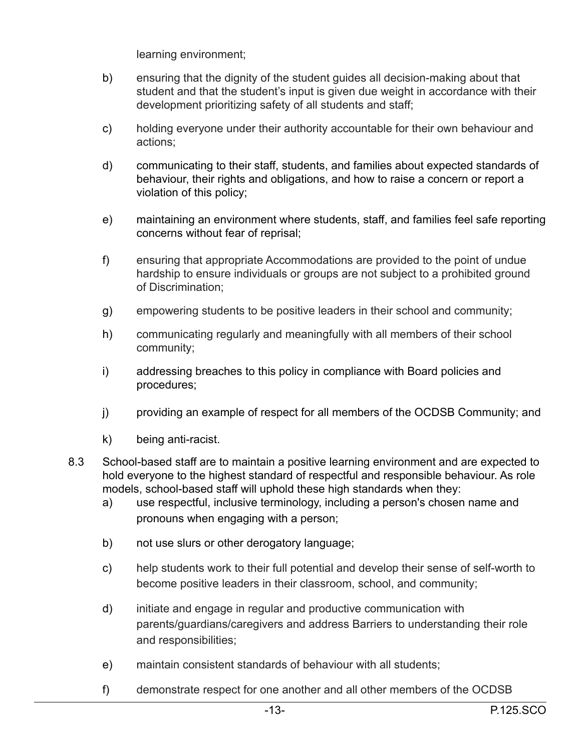learning environment;

- b) ensuring that the dignity of the student guides all decision-making about that student and that the student's input is given due weight in accordance with their development prioritizing safety of all students and staff;
- c) holding everyone under their authority accountable for their own behaviour and actions;
- d) communicating to their staff, students, and families about expected standards of behaviour, their rights and obligations, and how to raise a concern or report a violation of this policy;
- e) maintaining an environment where students, staff, and families feel safe reporting concerns without fear of reprisal;
- f) ensuring that appropriate Accommodations are provided to the point of undue hardship to ensure individuals or groups are not subject to a prohibited ground of Discrimination;
- g) empowering students to be positive leaders in their school and community;
- h) communicating regularly and meaningfully with all members of their school community;
- i) addressing breaches to this policy in compliance with Board policies and procedures;
- j) providing an example of respect for all members of the OCDSB Community; and
- k) being anti-racist.
- 8.3 School-based staff are to maintain a positive learning environment and are expected to hold everyone to the highest standard of respectful and responsible behaviour. As role models, school-based staff will uphold these high standards when they:
	- a) use respectful, inclusive terminology, including a person's chosen name and pronouns when engaging with a person;
	- b) not use slurs or other derogatory language;
	- c) help students work to their full potential and develop their sense of self-worth to become positive leaders in their classroom, school, and community;
	- d) initiate and engage in regular and productive communication with parents/guardians/caregivers and address Barriers to understanding their role and responsibilities;
	- e) maintain consistent standards of behaviour with all students;
	- f) demonstrate respect for one another and all other members of the OCDSB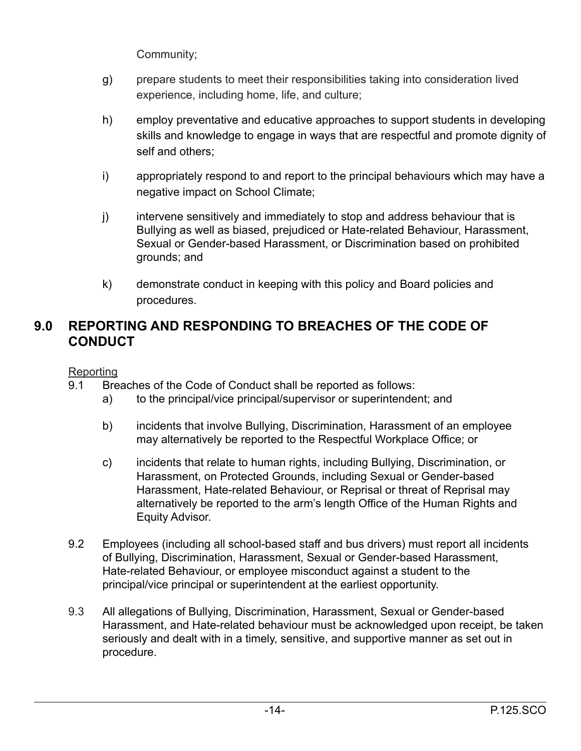Community;

- g) prepare students to meet their responsibilities taking into consideration lived experience, including home, life, and culture;
- h) employ preventative and educative approaches to support students in developing skills and knowledge to engage in ways that are respectful and promote dignity of self and others;
- i) appropriately respond to and report to the principal behaviours which may have a negative impact on School Climate;
- j) intervene sensitively and immediately to stop and address behaviour that is Bullying as well as biased, prejudiced or Hate-related Behaviour, Harassment, Sexual or Gender-based Harassment, or Discrimination based on prohibited grounds; and
- k) demonstrate conduct in keeping with this policy and Board policies and procedures.

## **9.0 REPORTING AND RESPONDING TO BREACHES OF THE CODE OF CONDUCT**

Reporting

- 9.1 Breaches of the Code of Conduct shall be reported as follows:
	- a) to the principal/vice principal/supervisor or superintendent; and
	- b) incidents that involve Bullying, Discrimination, Harassment of an employee may alternatively be reported to the Respectful Workplace Office; or
	- c) incidents that relate to human rights, including Bullying, Discrimination, or Harassment, on Protected Grounds, including Sexual or Gender-based Harassment, Hate-related Behaviour, or Reprisal or threat of Reprisal may alternatively be reported to the arm's length Office of the Human Rights and Equity Advisor.
- 9.2 Employees (including all school-based staff and bus drivers) must report all incidents of Bullying, Discrimination, Harassment, Sexual or Gender-based Harassment, Hate-related Behaviour, or employee misconduct against a student to the principal/vice principal or superintendent at the earliest opportunity.
- 9.3 All allegations of Bullying, Discrimination, Harassment, Sexual or Gender-based Harassment, and Hate-related behaviour must be acknowledged upon receipt, be taken seriously and dealt with in a timely, sensitive, and supportive manner as set out in procedure.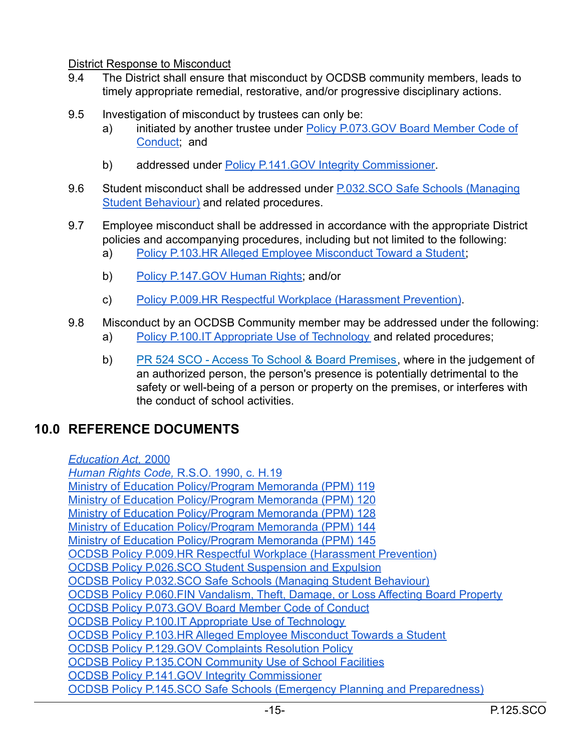#### District Response to Misconduct

- 9.4 The District shall ensure that misconduct by OCDSB community members, leads to timely appropriate remedial, restorative, and/or progressive disciplinary actions.
- 9.5 Investigation of misconduct by trustees can only be:
	- a) initiated by another trustee under Policy P.073.GOV [Board Member Code of](https://weblink.ocdsb.ca/WebLink/ElectronicFile.aspx?docid=2810880&dbid=0&repo=OCDSB) [Conduct;](https://weblink.ocdsb.ca/WebLink/ElectronicFile.aspx?docid=2810880&dbid=0&repo=OCDSB) and
	- b) addressed under **Policy P.141.GOV** Integrity Commissioner.
- 9.6 Student misconduct shall be addressed under P.032.SCO [Safe Schools \(Managing](https://docs.google.com/document/d/1ryjJRYLpFzqKNbIAJt1522148VIFE6ZJ9pblTpPakd8/edit) [Student Behaviour\)](https://docs.google.com/document/d/1ryjJRYLpFzqKNbIAJt1522148VIFE6ZJ9pblTpPakd8/edit) and related procedures.
- 9.7 Employee misconduct shall be addressed in accordance with the appropriate District policies and accompanying procedures, including but not limited to the following:
	- a) [Policy P.103.HR Alleged Employee Misconduct Toward a Student;](https://weblink.ocdsb.ca/WebLink/ElectronicFile.aspx?docid=2008619&dbid=0&repo=OCDSB)
	- b) Policy P.147.GOV Human Rights, and/or
	- c) [Policy P.009.HR Respectful Workplace \(Harassment Prevention\)](https://weblink.ocdsb.ca/WebLink/ElectronicFile.aspx?docid=4298530&dbid=0&repo=OCDSB).
- 9.8 Misconduct by an OCDSB Community member may be addressed under the following:
	- a) Policy P.100.IT [Appropriate Use of Technology](https://weblink.ocdsb.ca/WebLink/ElectronicFile.aspx?docid=2008623&dbid=0&repo=OCDSB) and related procedures;
	- b) [PR 524 SCO Access To School & Board Premises,](https://weblink.ocdsb.ca/WebLink/DocView.aspx?id=2008802&dbid=0&repo=OCDSB) where in the judgement of an authorized person, the person's presence is potentially detrimental to the safety or well-being of a person or property on the premises, or interferes with the conduct of school activities.

## **10.0 REFERENCE DOCUMENTS**

*[Education Act,](https://www.ontario.ca/laws/statute/90e02)* 2000 *[Human Rights Code,](https://www.ontario.ca/laws/statute/90h19)* R.S.O. 1990, c. H.19 [Ministry of Education Policy/Program Memoranda \(PPM\) 119](https://www.ontario.ca/document/education-ontario-policy-and-program-direction/policyprogram-memorandum-119) [Ministry of Education Policy/Program Memoranda \(PPM\) 120](https://www.ontario.ca/document/education-ontario-policy-and-program-direction/policyprogram-memorandum-120) [Ministry of Education Policy/Program Memoranda \(PPM\) 128](https://www.ontario.ca/document/education-ontario-policy-and-program-direction/policyprogram-memorandum-128) [Ministry of Education Policy/Program Memoranda \(PPM\) 144](https://www.ontario.ca/document/education-ontario-policy-and-program-direction/policyprogram-memorandum-144) [Ministry of Education Policy/Program Memoranda \(PPM\) 145](https://www.ontario.ca/document/education-ontario-policy-and-program-direction/policyprogram-memorandum-145) [OCDSB Policy P.009.HR Respectful Workplace \(Harassment Prevention\)](https://weblink.ocdsb.ca/WebLink/ElectronicFile.aspx?docid=3346041&dbid=0&repo=OCDSB) [OCDSB Policy P.026.SCO Student Suspension and Expulsion](https://weblink.ocdsb.ca/WebLink/ElectronicFile.aspx?docid=2776456&dbid=0&repo=OCDSB) [OCDSB Policy P.032.SCO Safe Schools \(Managing Student Behaviour\)](https://weblink.ocdsb.ca/WebLink/ElectronicFile.aspx?docid=2962191&dbid=0&repo=OCDSB) [OCDSB Policy P.060.FIN Vandalism, Theft, Damage, or Loss Affecting Board Property](https://weblink.ocdsb.ca/WebLink/ElectronicFile.aspx?docid=2008567&dbid=0&repo=OCDSB) [OCDSB Policy P.073.GOV Board Member Code of Conduct](https://weblink.ocdsb.ca/WebLink/ElectronicFile.aspx?docid=2810880&dbid=0&repo=OCDSB) OCDSB Policy P.100.IT [Appropriate Use of Technology](https://weblink.ocdsb.ca/WebLink/ElectronicFile.aspx?docid=2008623&dbid=0&repo=OCDSB) [OCDSB Policy P.103.HR Alleged Employee Misconduct Towards a Student](https://weblink.ocdsb.ca/WebLink/ElectronicFile.aspx?docid=2008619&dbid=0&repo=OCDSB) [OCDSB Policy P.129.GOV Complaints Resolution Policy](https://weblink.ocdsb.ca/WebLink/ElectronicFile.aspx?docid=2822845&dbid=0&repo=OCDSB) [OCDSB Policy P.135.CON Community Use of School Facilities](https://weblink.ocdsb.ca/WebLink/ElectronicFile.aspx?docid=2008541&dbid=0&repo=OCDSB) [OCDSB Policy P.141.GOV Integrity Commissioner](https://weblink.ocdsb.ca/WebLink/ElectronicFile.aspx?docid=3880086&dbid=0&repo=OCDSB) [OCDSB Policy P.145.SCO Safe Schools \(Emergency Planning and Preparedness\)](https://weblink.ocdsb.ca/WebLink/ElectronicFile.aspx?docid=2962191&dbid=0&repo=OCDSB)